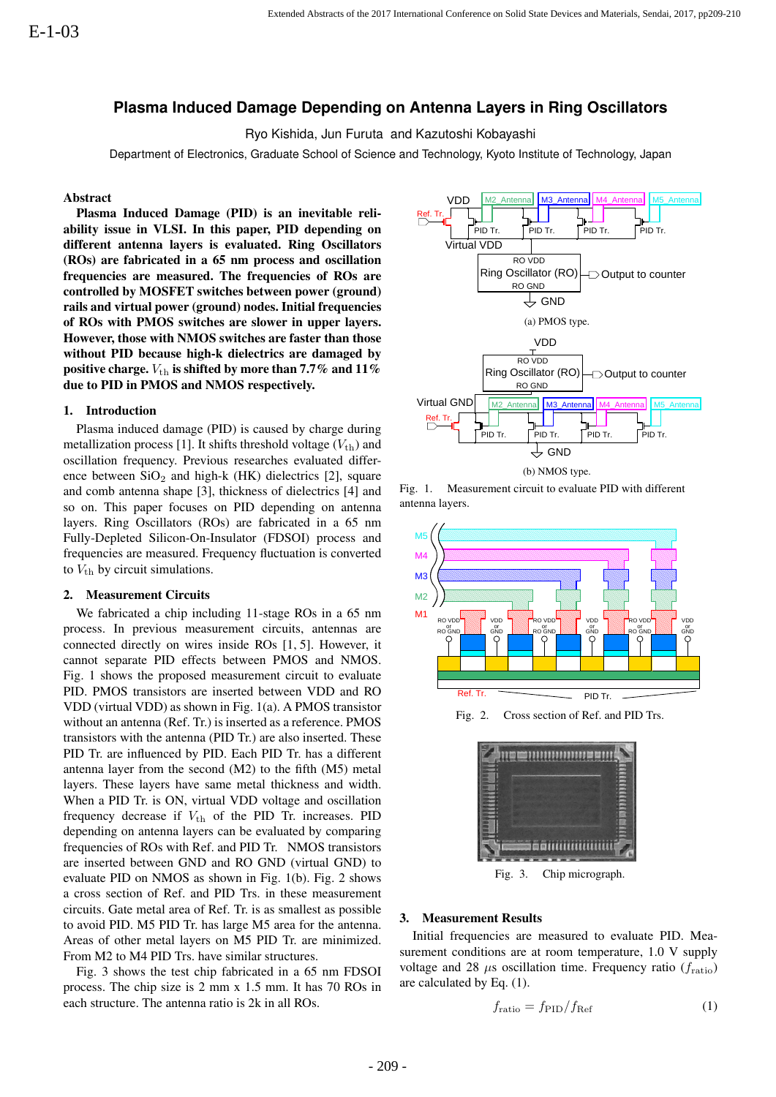# **Plasma Induced Damage Depending on Antenna Layers in Ring Oscillators**

Ryo Kishida, Jun Furuta and Kazutoshi Kobayashi

Department of Electronics, Graduate School of Science and Technology, Kyoto Institute of Technology, Japan

### Abstract

Plasma Induced Damage (PID) is an inevitable reliability issue in VLSI. In this paper, PID depending on different antenna layers is evaluated. Ring Oscillators (ROs) are fabricated in a 65 nm process and oscillation frequencies are measured. The frequencies of ROs are controlled by MOSFET switches between power (ground) rails and virtual power (ground) nodes. Initial frequencies of ROs with PMOS switches are slower in upper layers. However, those with NMOS switches are faster than those without PID because high-k dielectrics are damaged by positive charge.  $V_{\text{th}}$  is shifted by more than 7.7% and 11% due to PID in PMOS and NMOS respectively.

#### 1. Introduction

Plasma induced damage (PID) is caused by charge during metallization process [1]. It shifts threshold voltage  $(V_{\text{th}})$  and oscillation frequency. Previous researches evaluated difference between  $SiO<sub>2</sub>$  and high-k (HK) dielectrics [2], square and comb antenna shape [3], thickness of dielectrics [4] and so on. This paper focuses on PID depending on antenna layers. Ring Oscillators (ROs) are fabricated in a 65 nm Fully-Depleted Silicon-On-Insulator (FDSOI) process and frequencies are measured. Frequency fluctuation is converted to  $V_{\text{th}}$  by circuit simulations.

#### 2. Measurement Circuits

We fabricated a chip including 11-stage ROs in a 65 nm process. In previous measurement circuits, antennas are connected directly on wires inside ROs [1, 5]. However, it cannot separate PID effects between PMOS and NMOS. Fig. 1 shows the proposed measurement circuit to evaluate PID. PMOS transistors are inserted between VDD and RO VDD (virtual VDD) as shown in Fig. 1(a). A PMOS transistor without an antenna (Ref. Tr.) is inserted as a reference. PMOS transistors with the antenna (PID Tr.) are also inserted. These PID Tr. are influenced by PID. Each PID Tr. has a different antenna layer from the second (M2) to the fifth (M5) metal layers. These layers have same metal thickness and width. When a PID Tr. is ON, virtual VDD voltage and oscillation frequency decrease if  $V_{\text{th}}$  of the PID Tr. increases. PID depending on antenna layers can be evaluated by comparing frequencies of ROs with Ref. and PID Tr. NMOS transistors are inserted between GND and RO GND (virtual GND) to evaluate PID on NMOS as shown in Fig. 1(b). Fig. 2 shows a cross section of Ref. and PID Trs. in these measurement circuits. Gate metal area of Ref. Tr. is as smallest as possible to avoid PID. M5 PID Tr. has large M5 area for the antenna. Areas of other metal layers on M5 PID Tr. are minimized. From M2 to M4 PID Trs. have similar structures.

Fig. 3 shows the test chip fabricated in a 65 nm FDSOI process. The chip size is 2 mm x 1.5 mm. It has 70 ROs in each structure. The antenna ratio is 2k in all ROs.



Fig. 1. Measurement circuit to evaluate PID with different antenna layers.



Fig. 2. Cross section of Ref. and PID Trs.



Fig. 3. Chip micrograph.

#### 3. Measurement Results

Initial frequencies are measured to evaluate PID. Measurement conditions are at room temperature, 1.0 V supply voltage and 28  $\mu$ s oscillation time. Frequency ratio ( $f_{\text{ratio}}$ ) are calculated by Eq. (1).

$$
f_{\rm ratio} = f_{\rm PID} / f_{\rm Ref} \tag{1}
$$